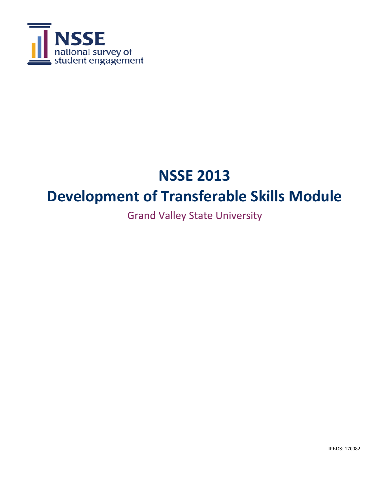

# **NSSE 2013**

# **Development of Transferable Skills Module**

Grand Valley State University

IPEDS: 170082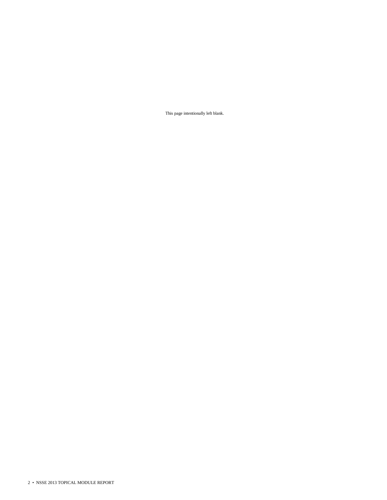This page intentionally left blank.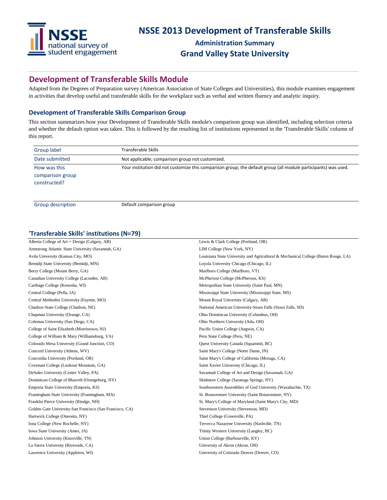

# **NSSE 2013 Development of Transferable Skills Administration Summary**

**Grand Valley State University**

#### **Development of Transferable Skills Module**

Adapted from the Degrees of Preparation survey (American Association of State Colleges and Universities), this module examines engagement in activities that develop useful and transferable skills for the workplace such as verbal and written fluency and analytic inquiry.

#### **Development of Transferable Skills Comparison Group**

This section summarizes how your Development of Transferable Skills module's comparison group was identified, including selection criteria and whether the default option was taken. This is followed by the resulting list of institutions represented in the 'Transferable Skills' column of this report.

| Group label                                      | Transferable Skills                                                                                             |
|--------------------------------------------------|-----------------------------------------------------------------------------------------------------------------|
| Date submitted                                   | Not applicable; comparison group not customized.                                                                |
| How was this<br>comparison group<br>constructed? | Your institution did not customize this comparison group; the default group (all module participants) was used. |

Group description **Default comparison group** 

#### **'Transferable Skills' institutions (N=79)**

| Alberta College of Art + Design (Calgary, AB)            | Lewis & Clark College (Portland, OR)                                               |
|----------------------------------------------------------|------------------------------------------------------------------------------------|
| Armstrong Atlantic State University (Savannah, GA)       | LIM College (New York, NY)                                                         |
| Avila University (Kansas City, MO)                       | Louisiana State University and Agricultural & Mechanical College (Baton Rouge, LA) |
| Bemidji State University (Bemidji, MN)                   | Loyola University Chicago (Chicago, IL)                                            |
| Berry College (Mount Berry, GA)                          | Marlboro College (Marlboro, VT)                                                    |
| Canadian University College (Lacombe, AB)                | McPherson College (McPherson, KS)                                                  |
| Carthage College (Kenosha, WI)                           | Metropolitan State University (Saint Paul, MN)                                     |
| Central College (Pella, IA)                              | Mississippi State University (Mississippi State, MS)                               |
| Central Methodist University (Fayette, MO)               | Mount Royal University (Calgary, AB)                                               |
| Chadron State College (Chadron, NE)                      | National American University-Sioux Falls (Sioux Falls, SD)                         |
| Chapman University (Orange, CA)                          | Ohio Dominican University (Columbus, OH)                                           |
| Coleman University (San Diego, CA)                       | Ohio Northern University (Ada, OH)                                                 |
| College of Saint Elizabeth (Morristown, NJ)              | Pacific Union College (Angwin, CA)                                                 |
| College of William & Mary (Williamsburg, VA)             | Peru State College (Peru, NE)                                                      |
| Colorado Mesa University (Grand Junction, CO)            | Quest University Canada (Squamish, BC)                                             |
| Concord University (Athens, WV)                          | Saint Mary's College (Notre Dame, IN)                                              |
| Concordia University (Portland, OR)                      | Saint Mary's College of California (Moraga, CA)                                    |
| Covenant College (Lookout Mountain, GA)                  | Saint Xavier University (Chicago, IL)                                              |
| DeSales University (Center Valley, PA)                   | Savannah College of Art and Design (Savannah, GA)                                  |
| Dominican College of Blauvelt (Orangeburg, NY)           | Skidmore College (Saratoga Springs, NY)                                            |
| Emporia State University (Emporia, KS)                   | Southwestern Assemblies of God University (Waxahachie, TX)                         |
| Framingham State University (Framingham, MA)             | St. Bonaventure University (Saint Bonaventure, NY)                                 |
| Franklin Pierce University (Rindge, NH)                  | St. Mary's College of Maryland (Saint Mary's City, MD)                             |
| Golden Gate University-San Francisco (San Francisco, CA) | Stevenson University (Stevenson, MD)                                               |
| Hartwick College (Oneonta, NY)                           | Thiel College (Greenville, PA)                                                     |
| Iona College (New Rochelle, NY)                          | Trevecca Nazarene University (Nashville, TN)                                       |
| Iowa State University (Ames, IA)                         | Trinity Western University (Langley, BC)                                           |
| Johnson University (Knoxville, TN)                       | Union College (Barbourville, KY)                                                   |
| La Sierra University (Riverside, CA)                     | University of Akron (Akron, OH)                                                    |
| Lawrence University (Appleton, WI)                       | University of Colorado Denver (Denver, CO)                                         |
|                                                          |                                                                                    |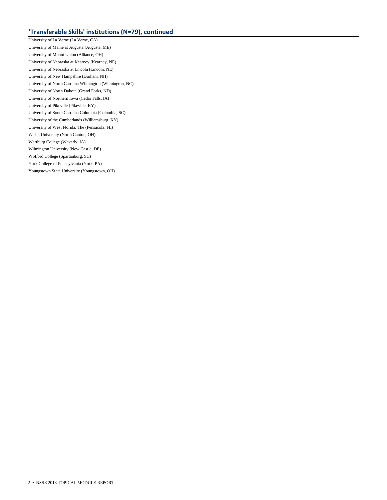#### **'Transferable Skills' institutions (N=79), continued**

University of La Verne (La Verne, CA) University of Maine at Augusta (Augusta, ME) University of Mount Union (Alliance, OH) University of Nebraska at Kearney (Kearney, NE) University of Nebraska at Lincoln (Lincoln, NE) University of New Hampshire (Durham, NH) University of North Carolina Wilmington (Wilmington, NC) University of North Dakota (Grand Forks, ND) University of Northern Iowa (Cedar Falls, IA) University of Pikeville (Pikeville, KY) University of South Carolina Columbia (Columbia, SC) University of the Cumberlands (Williamsburg, KY) University of West Florida, The (Pensacola, FL) Walsh University (North Canton, OH) Wartburg College (Waverly, IA) Wilmington University (New Castle, DE) Wofford College (Spartanburg, SC) York College of Pennsylvania (York, PA) Youngstown State University (Youngstown, OH)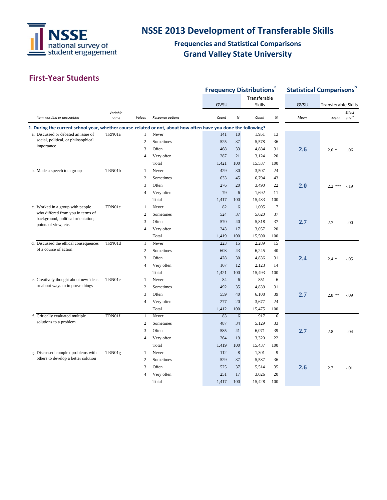

## **Frequencies and Statistical Comparisons Grand Valley State University**

#### **First-Year Students**

|                                                                                                                |                  |                     |                  | <b>Frequency Distributions<sup>a</sup></b> |            |               |                | <b>Statistical Comparisons</b> <sup>b</sup> |                     |                             |  |
|----------------------------------------------------------------------------------------------------------------|------------------|---------------------|------------------|--------------------------------------------|------------|---------------|----------------|---------------------------------------------|---------------------|-----------------------------|--|
|                                                                                                                |                  |                     |                  |                                            |            | Transferable  |                |                                             |                     |                             |  |
|                                                                                                                |                  |                     |                  | GVSU                                       |            | <b>Skills</b> |                | GVSU                                        | Transferable Skills |                             |  |
| Item wording or description                                                                                    | Variable<br>name | Values <sup>c</sup> | Response options | Count                                      | $\%$       | Count         | $\%$           | Mean                                        | Mean                | Effect<br>size <sup>d</sup> |  |
| 1. During the current school year, whether course-related or not, about how often have you done the following? |                  |                     |                  |                                            |            |               |                |                                             |                     |                             |  |
| a. Discussed or debated an issue of                                                                            | TRN01a           | 1                   | Never            | 141                                        | 10         | 1,951         | 13             |                                             |                     |                             |  |
| social, political, or philosophical                                                                            |                  | $\overline{c}$      | Sometimes        | 525                                        | 37         | 5,578         | 36             |                                             |                     |                             |  |
| importance                                                                                                     |                  | 3                   | Often            | 468                                        | 33         | 4,884         | 31             | 2.6                                         | $2.6*$              | .06                         |  |
|                                                                                                                |                  | $\overline{4}$      | Very often       | 287                                        | 21         | 3,124         | 20             |                                             |                     |                             |  |
|                                                                                                                |                  |                     | Total            | 1,421                                      | 100        | 15,537        | 100            |                                             |                     |                             |  |
| b. Made a speech to a group                                                                                    | TRN01b           | $\mathbf{1}$        | Never            | 429                                        | 30         | 3,507         | 24             |                                             |                     |                             |  |
|                                                                                                                |                  | $\overline{c}$      | Sometimes        | 633                                        | 45         | 6,794         | 43             |                                             |                     |                             |  |
|                                                                                                                |                  | 3                   | Often            | 276                                        | 20         | 3,490         | 22             | 2.0                                         | $2.2$ ***           | $-.19$                      |  |
|                                                                                                                |                  | $\overline{4}$      | Very often       | 79                                         | 6          | 1,692         | 11             |                                             |                     |                             |  |
|                                                                                                                |                  |                     | Total            | 1,417                                      | 100        | 15,483        | 100            |                                             |                     |                             |  |
| c. Worked in a group with people                                                                               | TRN01c           | $\mathbf{1}$        | Never            | 82                                         | $\sqrt{6}$ | 1,005         | $\overline{7}$ |                                             |                     |                             |  |
| who differed from you in terms of                                                                              |                  | $\overline{c}$      | Sometimes        | 524                                        | 37         | 5,620         | 37             |                                             |                     |                             |  |
| background, political orientation,                                                                             |                  | 3                   | Often            | 570                                        | 40         | 5,818         | 37             | 2.7                                         | 2.7                 | .00                         |  |
| points of view, etc.                                                                                           |                  | 4                   | Very often       | 243                                        | 17         | 3,057         | 20             |                                             |                     |                             |  |
|                                                                                                                |                  |                     | Total            | 1,419                                      | 100        | 15,500        | 100            |                                             |                     |                             |  |
| d. Discussed the ethical consequences                                                                          | TRN01d           | $\mathbf{1}$        | Never            | 223                                        | 15         | 2,289         | 15             |                                             |                     |                             |  |
| of a course of action                                                                                          |                  | $\overline{c}$      | Sometimes        | 603                                        | 43         | 6,245         | 40             |                                             |                     |                             |  |
|                                                                                                                |                  | 3                   | Often            | 428                                        | 30         | 4,836         | 31             | 2.4                                         | $2.4 *$             | $-.05$                      |  |
|                                                                                                                |                  | 4                   | Very often       | 167                                        | 12         | 2,123         | 14             |                                             |                     |                             |  |
|                                                                                                                |                  |                     | Total            | 1,421                                      | 100        | 15,493        | 100            |                                             |                     |                             |  |
| e. Creatively thought about new ideas                                                                          | TRN01e           | $\mathbf{1}$        | Never            | 84                                         | 6          | 851           | 6              |                                             |                     |                             |  |
| or about ways to improve things                                                                                |                  | $\overline{c}$      | Sometimes        | 492                                        | 35         | 4,839         | 31             |                                             |                     |                             |  |
|                                                                                                                |                  | 3                   | Often            | 559                                        | 40         | 6,108         | 39             | 2.7                                         | $2.8$ **            | $-.09$                      |  |
|                                                                                                                |                  | 4                   | Very often       | 277                                        | 20         | 3,677         | 24             |                                             |                     |                             |  |
|                                                                                                                |                  |                     | Total            | 1,412                                      | 100        | 15,475        | 100            |                                             |                     |                             |  |
| f. Critically evaluated multiple                                                                               | TRN01f           | $\mathbf{1}$        | Never            | 83                                         | 6          | 917           | 6              |                                             |                     |                             |  |
| solutions to a problem                                                                                         |                  | $\mathbf{2}$        | Sometimes        | 487                                        | 34         | 5,129         | 33             |                                             |                     |                             |  |
|                                                                                                                |                  | 3                   | Often            | 585                                        | 41         | 6,071         | 39             | 2.7                                         | 2.8                 | $-.04$                      |  |
|                                                                                                                |                  | 4                   | Very often       | 264                                        | 19         | 3,320         | 22             |                                             |                     |                             |  |
|                                                                                                                |                  |                     | Total            | 1,419                                      | 100        | 15,437        | 100            |                                             |                     |                             |  |
| g. Discussed complex problems with                                                                             | TRN01g           | $\mathbf{1}$        | Never            | 112                                        | $\,8\,$    | 1,301         | 9              |                                             |                     |                             |  |
| others to develop a better solution                                                                            |                  | $\overline{c}$      | Sometimes        | 529                                        | 37         | 5,587         | 36             |                                             |                     |                             |  |
|                                                                                                                |                  | 3                   | Often            | 525                                        | 37         | 5,514         | 35             | 2.6                                         | 2.7                 | $-.01$                      |  |
|                                                                                                                |                  | 4                   | Very often       | 251                                        | 17         | 3,026         | 20             |                                             |                     |                             |  |
|                                                                                                                |                  |                     | Total            | 1,417                                      | 100        | 15,428        | 100            |                                             |                     |                             |  |
|                                                                                                                |                  |                     |                  |                                            |            |               |                |                                             |                     |                             |  |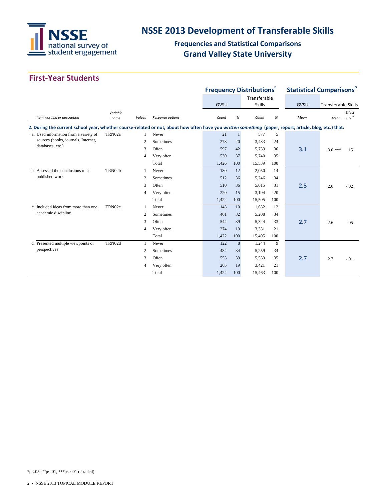

## **Frequencies and Statistical Comparisons Grand Valley State University**

#### **First-Year Students**

|  |                                                                                                                                                         |                                                             |                |            |       |              | <b>Frequency Distributions<sup>ª</sup></b> | <b>Statistical Comparisons</b> b |      |                            |                             |  |
|--|---------------------------------------------------------------------------------------------------------------------------------------------------------|-------------------------------------------------------------|----------------|------------|-------|--------------|--------------------------------------------|----------------------------------|------|----------------------------|-----------------------------|--|
|  |                                                                                                                                                         |                                                             |                |            |       |              | Transferable                               |                                  |      |                            |                             |  |
|  |                                                                                                                                                         |                                                             |                |            | GVSU  |              | <b>Skills</b>                              |                                  | GVSU | <b>Transferable Skills</b> |                             |  |
|  | Item wording or description                                                                                                                             | Variable<br>Values <sup>c</sup><br>Response options<br>name |                |            | Count | $\%$         | Count                                      | $\%$                             | Mean | Mean                       | Effect<br>size <sup>d</sup> |  |
|  | 2. During the current school year, whether course-related or not, about how often have you written something (paper, report, article, blog, etc.) that: |                                                             |                |            |       |              |                                            |                                  |      |                            |                             |  |
|  | a. Used information from a variety of                                                                                                                   | TRN02a                                                      | 1              | Never      | 21    | $\mathbf{1}$ | 577                                        | 5                                |      |                            |                             |  |
|  | sources (books, journals, Internet,                                                                                                                     |                                                             | 2              | Sometimes  | 278   | 20           | 3,483                                      | 24                               |      |                            |                             |  |
|  | databases, etc.)                                                                                                                                        |                                                             | 3              | Often      | 597   | 42           | 5,739                                      | 36                               | 3.1  | $3.0***$                   | .15                         |  |
|  |                                                                                                                                                         |                                                             | 4              | Very often | 530   | 37           | 5,740                                      | 35                               |      |                            |                             |  |
|  |                                                                                                                                                         |                                                             |                | Total      | 1,426 | 100          | 15,539                                     | 100                              |      |                            |                             |  |
|  | b. Assessed the conclusions of a                                                                                                                        | TRN02b                                                      | 1              | Never      | 180   | 12           | 2,050                                      | 14                               |      |                            |                             |  |
|  | published work                                                                                                                                          |                                                             | 2              | Sometimes  | 512   | 36           | 5,246                                      | 34                               |      |                            |                             |  |
|  |                                                                                                                                                         |                                                             | 3              | Often      | 510   | 36           | 5,015                                      | 31                               | 2.5  | 2.6                        | $-.02$                      |  |
|  |                                                                                                                                                         |                                                             | $\overline{4}$ | Very often | 220   | 15           | 3.194                                      | 20                               |      |                            |                             |  |
|  |                                                                                                                                                         |                                                             |                | Total      | 1,422 | 100          | 15,505                                     | 100                              |      |                            |                             |  |
|  | c. Included ideas from more than one                                                                                                                    | TRN02c                                                      | 1              | Never      | 143   | 10           | 1,632                                      | 12                               |      |                            |                             |  |
|  | academic discipline                                                                                                                                     |                                                             | 2              | Sometimes  | 461   | 32           | 5,208                                      | 34                               |      |                            |                             |  |
|  |                                                                                                                                                         |                                                             | 3              | Often      | 544   | 39           | 5,324                                      | 33                               | 2.7  | 2.6                        | .05                         |  |
|  |                                                                                                                                                         |                                                             | 4              | Very often | 274   | 19           | 3.331                                      | 21                               |      |                            |                             |  |
|  |                                                                                                                                                         |                                                             |                | Total      | 1,422 | 100          | 15,495                                     | 100                              |      |                            |                             |  |
|  | d. Presented multiple viewpoints or                                                                                                                     | TRN02d                                                      | 1              | Never      | 122   | 8            | 1,244                                      | 9                                |      |                            |                             |  |
|  | perspectives                                                                                                                                            |                                                             | 2              | Sometimes  | 484   | 34           | 5,259                                      | 34                               |      |                            |                             |  |
|  |                                                                                                                                                         |                                                             | 3              | Often      | 553   | 39           | 5,539                                      | 35                               | 2.7  | 2.7                        | $-.01$                      |  |
|  |                                                                                                                                                         |                                                             | $\overline{4}$ | Very often | 265   | 19           | 3,421                                      | 21                               |      |                            |                             |  |
|  |                                                                                                                                                         |                                                             |                | Total      | 1,424 | 100          | 15,463                                     | 100                              |      |                            |                             |  |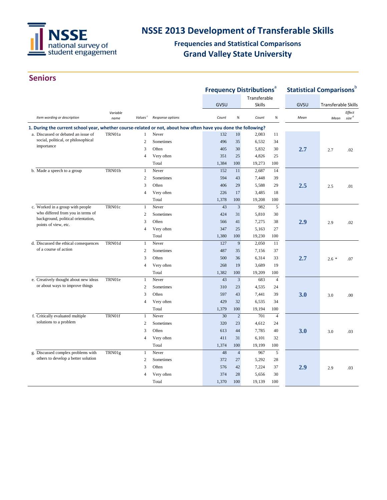

## **Frequencies and Statistical Comparisons Grand Valley State University**

#### **Seniors**

|                                                                                                                |                  |                     |                  | <b>Frequency Distributions</b> <sup>a</sup> |                | <b>Statistical Comparisons</b> <sup>b</sup> |                |      |                     |                    |
|----------------------------------------------------------------------------------------------------------------|------------------|---------------------|------------------|---------------------------------------------|----------------|---------------------------------------------|----------------|------|---------------------|--------------------|
|                                                                                                                |                  |                     |                  |                                             |                | Transferable                                |                |      |                     |                    |
|                                                                                                                |                  |                     |                  | GVSU                                        |                | <b>Skills</b>                               |                | GVSU | Transferable Skills |                    |
| Item wording or description                                                                                    | Variable<br>name | Values <sup>c</sup> | Response options | Count                                       | $\%$           | Count                                       | $\%$           | Mean | Mean                | Effect<br>$size^d$ |
| 1. During the current school year, whether course-related or not, about how often have you done the following? |                  |                     |                  |                                             |                |                                             |                |      |                     |                    |
| a. Discussed or debated an issue of                                                                            | TRN01a           | $\mathbf{1}$        | Never            | 132                                         | 10             | 2,083                                       | 11             |      |                     |                    |
| social, political, or philosophical                                                                            |                  | $\overline{c}$      | Sometimes        | 496                                         | 35             | 6,532                                       | 34             |      |                     |                    |
| importance                                                                                                     |                  | 3                   | Often            | 405                                         | 30             | 5,832                                       | 30             | 2.7  | 2.7                 | .02                |
|                                                                                                                |                  | 4                   | Very often       | 351                                         | 25             | 4,826                                       | 25             |      |                     |                    |
|                                                                                                                |                  |                     | Total            | 1,384                                       | 100            | 19,273                                      | 100            |      |                     |                    |
| b. Made a speech to a group                                                                                    | TRN01b           | $\mathbf{1}$        | Never            | 152                                         | 11             | 2,687                                       | 14             |      |                     |                    |
|                                                                                                                |                  | $\overline{c}$      | Sometimes        | 594                                         | 43             | 7,448                                       | 39             |      |                     |                    |
|                                                                                                                |                  | 3                   | Often            | 406                                         | 29             | 5,588                                       | 29             | 2.5  | 2.5                 | .01                |
|                                                                                                                |                  | 4                   | Very often       | 226                                         | 17             | 3,485                                       | 18             |      |                     |                    |
|                                                                                                                |                  |                     | Total            | 1,378                                       | 100            | 19,208                                      | 100            |      |                     |                    |
| c. Worked in a group with people                                                                               | TRN01c           | $\mathbf{1}$        | Never            | 43                                          | $\mathfrak{Z}$ | 982                                         | $\sqrt{5}$     |      |                     |                    |
| who differed from you in terms of                                                                              |                  | $\overline{c}$      | Sometimes        | 424                                         | 31             | 5,810                                       | 30             |      |                     |                    |
| background, political orientation,<br>points of view, etc.                                                     |                  | 3                   | Often            | 566                                         | 41             | 7,275                                       | 38             | 2.9  | 2.9                 | .02                |
|                                                                                                                |                  | 4                   | Very often       | 347                                         | 25             | 5,163                                       | 27             |      |                     |                    |
|                                                                                                                |                  |                     | Total            | 1,380                                       | 100            | 19,230                                      | 100            |      |                     |                    |
| d. Discussed the ethical consequences                                                                          | TRN01d           | $\mathbf{1}$        | Never            | 127                                         | $\overline{9}$ | 2,050                                       | 11             |      |                     |                    |
| of a course of action                                                                                          |                  | $\overline{c}$      | Sometimes        | 487                                         | 35             | 7,156                                       | 37             |      |                     |                    |
|                                                                                                                |                  | 3                   | Often            | 500                                         | 36             | 6,314                                       | 33             | 2.7  | $2.6*$              | .07                |
|                                                                                                                |                  | $\overline{4}$      | Very often       | 268                                         | 19             | 3,689                                       | 19             |      |                     |                    |
|                                                                                                                |                  |                     | Total            | 1,382                                       | 100            | 19,209                                      | 100            |      |                     |                    |
| e. Creatively thought about new ideas                                                                          | TRN01e           | $\mathbf{1}$        | Never            | 43                                          | $\mathfrak{Z}$ | 683                                         | $\overline{4}$ |      |                     |                    |
| or about ways to improve things                                                                                |                  | $\overline{c}$      | Sometimes        | 310                                         | 23             | 4,535                                       | 24             |      |                     |                    |
|                                                                                                                |                  | 3                   | Often            | 597                                         | 43             | 7,441                                       | 39             | 3.0  | 3.0                 | .00                |
|                                                                                                                |                  | $\overline{4}$      | Very often       | 429                                         | 32             | 6,535                                       | 34             |      |                     |                    |
|                                                                                                                |                  |                     | Total            | 1,379                                       | 100            | 19,194                                      | 100            |      |                     |                    |
| f. Critically evaluated multiple                                                                               | TRN01f           | 1                   | Never            | 30                                          | 2              | 701                                         | $\overline{4}$ |      |                     |                    |
| solutions to a problem                                                                                         |                  | $\overline{c}$      | Sometimes        | 320                                         | 23             | 4,612                                       | 24             |      |                     |                    |
|                                                                                                                |                  | 3                   | Often            | 613                                         | 44             | 7,785                                       | 40             | 3.0  | 3.0                 | .03                |
|                                                                                                                |                  | 4                   | Very often       | 411                                         | 31             | 6,101                                       | 32             |      |                     |                    |
|                                                                                                                |                  |                     | Total            | 1,374                                       | 100            | 19,199                                      | 100            |      |                     |                    |
| g. Discussed complex problems with                                                                             | TRN01g           | $\mathbf{1}$        | Never            | 48                                          | $\overline{4}$ | 967                                         | $\sqrt{5}$     |      |                     |                    |
| others to develop a better solution                                                                            |                  | $\overline{c}$      | Sometimes        | 372                                         | 27             | 5,292                                       | 28             |      |                     |                    |
|                                                                                                                |                  | 3                   | Often            | 576                                         | 42             | 7,224                                       | 37             | 2.9  | 2.9                 | .03                |
|                                                                                                                |                  | 4                   | Very often       | 374                                         | 28             | 5,656                                       | 30             |      |                     |                    |
|                                                                                                                |                  |                     | Total            | 1,370                                       | 100            | 19,139                                      | 100            |      |                     |                    |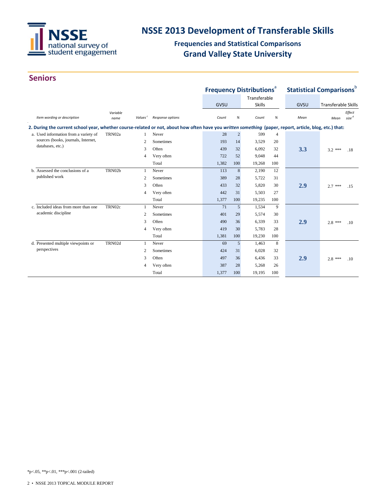

## **Frequencies and Statistical Comparisons Grand Valley State University**

#### **Seniors**

|  |                                                                                                                                                         |                                                             |                |            |       |                | <b>Frequency Distributions<sup>ª</sup></b> | <b>Statistical Comparisons</b> b |      |                     |                             |  |
|--|---------------------------------------------------------------------------------------------------------------------------------------------------------|-------------------------------------------------------------|----------------|------------|-------|----------------|--------------------------------------------|----------------------------------|------|---------------------|-----------------------------|--|
|  |                                                                                                                                                         |                                                             |                |            |       |                | Transferable                               |                                  |      |                     |                             |  |
|  |                                                                                                                                                         |                                                             |                |            | GVSU  |                | <b>Skills</b>                              |                                  | GVSU | Transferable Skills |                             |  |
|  | Item wording or description                                                                                                                             | Variable<br>Values <sup>c</sup><br>Response options<br>name |                |            | Count | $\%$           | Count                                      | $\%$                             | Mean | Mean                | Effect<br>size <sup>d</sup> |  |
|  | 2. During the current school year, whether course-related or not, about how often have you written something (paper, report, article, blog, etc.) that: |                                                             |                |            |       |                |                                            |                                  |      |                     |                             |  |
|  | a. Used information from a variety of                                                                                                                   | TRN02a                                                      | -1             | Never      | 28    | $\overline{2}$ | 599                                        | 4                                |      |                     |                             |  |
|  | sources (books, journals, Internet,                                                                                                                     |                                                             | 2              | Sometimes  | 193   | 14             | 3,529                                      | 20                               |      |                     |                             |  |
|  | databases, etc.)                                                                                                                                        |                                                             | 3              | Often      | 439   | 32             | 6,092                                      | 32                               | 3.3  | $3.2$ ***           | .18                         |  |
|  |                                                                                                                                                         |                                                             | 4              | Very often | 722   | 52             | 9,048                                      | 44                               |      |                     |                             |  |
|  |                                                                                                                                                         |                                                             |                | Total      | 1,382 | 100            | 19,268                                     | 100                              |      |                     |                             |  |
|  | b. Assessed the conclusions of a                                                                                                                        | TRN02b                                                      | -1             | Never      | 113   | 8              | 2,190                                      | 12                               |      |                     |                             |  |
|  | published work                                                                                                                                          |                                                             | $\overline{2}$ | Sometimes  | 389   | 28             | 5,722                                      | 31                               |      |                     |                             |  |
|  |                                                                                                                                                         |                                                             | 3              | Often      | 433   | 32             | 5,820                                      | 30                               | 2.9  | $2.7$ ***           | .15                         |  |
|  |                                                                                                                                                         |                                                             | $\overline{4}$ | Very often | 442   | 31             | 5,503                                      | 27                               |      |                     |                             |  |
|  |                                                                                                                                                         |                                                             |                | Total      | 1,377 | 100            | 19,235                                     | 100                              |      |                     |                             |  |
|  | c. Included ideas from more than one                                                                                                                    | TRN02c                                                      | -1             | Never      | 71    | 5              | 1,534                                      | 9                                |      |                     |                             |  |
|  | academic discipline                                                                                                                                     |                                                             | 2              | Sometimes  | 401   | 29             | 5,574                                      | 30                               |      |                     |                             |  |
|  |                                                                                                                                                         |                                                             | 3              | Often      | 490   | 36             | 6,339                                      | 33                               | 2.9  | $2.8$ ***           | .10                         |  |
|  |                                                                                                                                                         |                                                             | 4              | Very often | 419   | 30             | 5.783                                      | 28                               |      |                     |                             |  |
|  |                                                                                                                                                         |                                                             |                | Total      | 1,381 | 100            | 19,230                                     | 100                              |      |                     |                             |  |
|  | d. Presented multiple viewpoints or                                                                                                                     | TRN02d                                                      | 1              | Never      | 69    | 5              | 1,463                                      | 8                                |      |                     |                             |  |
|  | perspectives                                                                                                                                            |                                                             | 2              | Sometimes  | 424   | 31             | 6,028                                      | 32                               |      |                     |                             |  |
|  |                                                                                                                                                         |                                                             | 3              | Often      | 497   | 36             | 6,436                                      | 33                               | 2.9  | $2.8$ ***           | .10                         |  |
|  |                                                                                                                                                         |                                                             | 4              | Very often | 387   | 28             | 5,268                                      | 26                               |      |                     |                             |  |
|  |                                                                                                                                                         |                                                             |                | Total      | 1,377 | 100            | 19,195                                     | 100                              |      |                     |                             |  |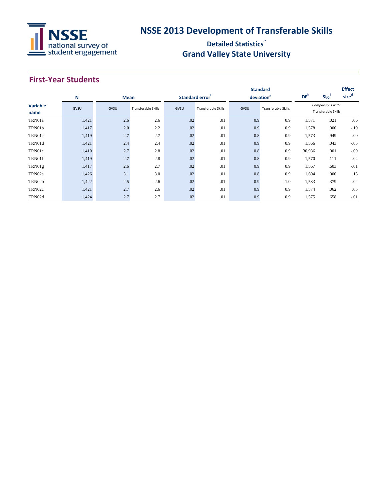

## **Detailed Statistics<sup>e</sup> Grand Valley State University**

#### **First-Year Students**

|                         | N     | <b>Standard</b><br>deviation <sup>g</sup><br>Standard error<br><b>Mean</b> |     |      |                     |      |                     |        | Sig.                                     | <b>Effect</b><br>size <sup>d</sup> |
|-------------------------|-------|----------------------------------------------------------------------------|-----|------|---------------------|------|---------------------|--------|------------------------------------------|------------------------------------|
| <b>Variable</b><br>name | GVSU  | GVSU<br>Transferable Skills                                                |     | GVSU | Transferable Skills | GVSU | Transferable Skills |        | Comparisons with:<br>Transferable Skills |                                    |
| TRN01a                  | 1,421 | 2.6                                                                        | 2.6 | .02  | .01                 | 0.9  | 0.9                 | 1,571  | .021                                     | .06                                |
| TRN01b                  | 1,417 | 2.0                                                                        | 2.2 | .02  | .01                 | 0.9  | 0.9                 | 1,578  | .000                                     | $-.19$                             |
| TRN01c                  | 1,419 | 2.7                                                                        | 2.7 | .02  | .01                 | 0.8  | 0.9                 | 1,573  | .949                                     | .00                                |
| TRN01d                  | 1,421 | 2.4                                                                        | 2.4 | .02  | .01                 | 0.9  | 0.9                 | 1,566  | .043                                     | $-.05$                             |
| TRN01e                  | 1,410 | 2.7                                                                        | 2.8 | .02  | .01                 | 0.8  | 0.9                 | 30,986 | .001                                     | $-.09$                             |
| TRN01f                  | 1,419 | 2.7                                                                        | 2.8 | .02  | .01                 | 0.8  | 0.9                 | 1,570  | .111                                     | $-.04$                             |
| TRN01g                  | 1,417 | 2.6                                                                        | 2.7 | .02  | .01                 | 0.9  | 0.9                 | 1,567  | .603                                     | $-.01$                             |
| TRN02a                  | 1,426 | 3.1                                                                        | 3.0 | .02  | .01                 | 0.8  | 0.9                 | 1,604  | .000                                     | .15                                |
| TRN02b                  | 1,422 | 2.5                                                                        | 2.6 | .02  | .01                 | 0.9  | 1.0                 | 1,583  | .379                                     | $-.02$                             |
| TRN02c                  | 1,421 | 2.7                                                                        | 2.6 | .02  | .01                 | 0.9  | 0.9                 | 1,574  | .062                                     | .05                                |
| TRN02d                  | 1,424 | 2.7                                                                        | 2.7 | .02  | .01                 | 0.9  | 0.9                 | 1,575  | .658                                     | $-.01$                             |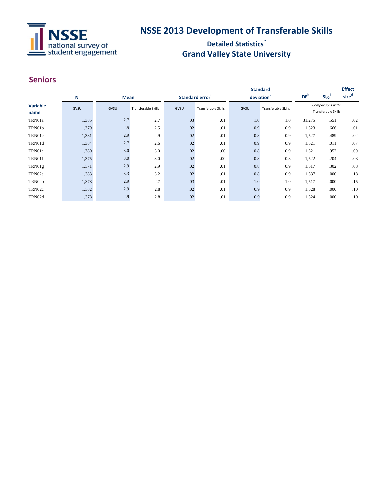

## **Detailed Statistics<sup>e</sup> Grand Valley State University**

#### **Seniors**

|                 |       |      |                     |      |                     | <b>Standard</b>        |                     |                 |                     | <b>Effect</b>     |
|-----------------|-------|------|---------------------|------|---------------------|------------------------|---------------------|-----------------|---------------------|-------------------|
|                 | N     |      | <b>Mean</b>         |      | Standard error      | deviation <sup>g</sup> |                     | DF <sup>1</sup> | Sig.                | size <sup>d</sup> |
| <b>Variable</b> | GVSU  | GVSU | Transferable Skills | GVSU | Transferable Skills | GVSU                   | Transferable Skills |                 | Comparisons with:   |                   |
| name            |       |      |                     |      |                     |                        |                     |                 | Transferable Skills |                   |
| TRN01a          | 1,385 | 2.7  | 2.7                 | .03  | .01                 | 1.0                    | 1.0                 | 31,275          | .551                | .02               |
| TRN01b          | 1,379 | 2.5  | 2.5                 | .02  | .01                 | 0.9                    | 0.9                 | 1,523           | .666                | .01               |
| TRN01c          | 1,381 | 2.9  | 2.9                 | .02  | .01                 | 0.8                    | 0.9                 | 1,527           | .489                | .02               |
| TRN01d          | 1,384 | 2.7  | 2.6                 | .02  | .01                 | 0.9                    | 0.9                 | 1,521           | .011                | .07               |
| TRN01e          | 1,380 | 3.0  | 3.0                 | .02  | .00                 | 0.8                    | 0.9                 | 1,521           | .952                | .00               |
| TRN01f          | 1,375 | 3.0  | 3.0                 | .02  | .00                 | 0.8                    | 0.8                 | 1,522           | .204                | .03               |
| TRN01g          | 1,371 | 2.9  | 2.9                 | .02  | .01                 | 0.8                    | 0.9                 | 1,517           | .302                | .03               |
| TRN02a          | 1,383 | 3.3  | 3.2                 | .02  | .01                 | 0.8                    | 0.9                 | 1,537           | .000                | .18               |
| TRN02b          | 1,378 | 2.9  | 2.7                 | .03  | .01                 | 1.0                    | 1.0                 | 1,517           | .000                | .15               |
| TRN02c          | 1,382 | 2.9  | 2.8                 | .02  | .01                 | 0.9                    | 0.9                 | 1,528           | .000                | .10               |
| TRN02d          | 1,378 | 2.9  | 2.8                 | .02  | .01                 | 0.9                    | 0.9                 | 1,524           | .000                | .10               |